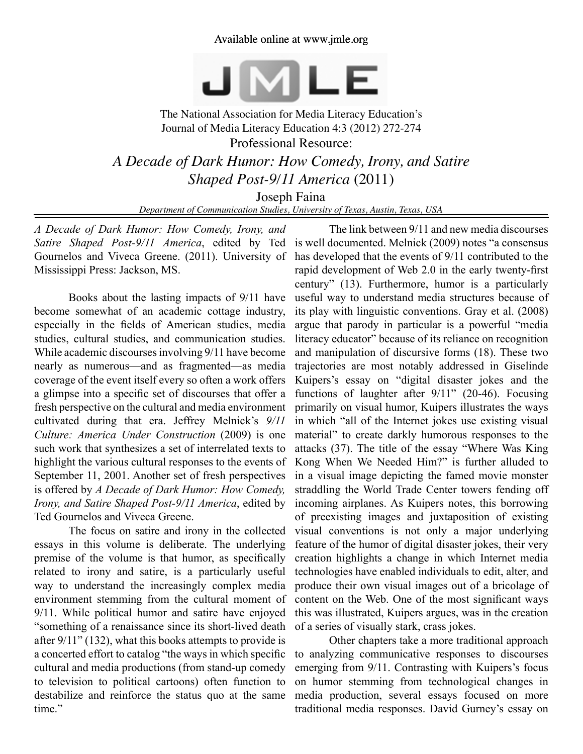Available online at www.jmle.org



The National Association for Media Literacy Education's Journal of Media Literacy Education 4:3 (2012) 272-274 Professional Resource: *A Decade of Dark Humor: How Comedy, Irony, and Satire Shaped Post-9/11 America* (2011)

Joseph Faina

*Department of Communication Studies, University of Texas, Austin, Texas, USA*

*A Decade of Dark Humor: How Comedy, Irony, and Satire Shaped Post-9/11 America*, edited by Ted Gournelos and Viveca Greene. (2011). University of Mississippi Press: Jackson, MS.

Books about the lasting impacts of 9/11 have become somewhat of an academic cottage industry, especially in the fields of American studies, media studies, cultural studies, and communication studies. While academic discourses involving 9/11 have become nearly as numerous—and as fragmented—as media coverage of the event itself every so often a work offers a glimpse into a specific set of discourses that offer a fresh perspective on the cultural and media environment cultivated during that era. Jeffrey Melnick's *9/11 Culture: America Under Construction* (2009) is one such work that synthesizes a set of interrelated texts to highlight the various cultural responses to the events of September 11, 2001. Another set of fresh perspectives is offered by *A Decade of Dark Humor: How Comedy, Irony, and Satire Shaped Post-9/11 America*, edited by Ted Gournelos and Viveca Greene.

The focus on satire and irony in the collected essays in this volume is deliberate. The underlying premise of the volume is that humor, as specifically related to irony and satire, is a particularly useful way to understand the increasingly complex media environment stemming from the cultural moment of 9/11. While political humor and satire have enjoyed "something of a renaissance since its short-lived death after 9/11" (132), what this books attempts to provide is a concerted effort to catalog "the ways in which specific cultural and media productions (from stand-up comedy to television to political cartoons) often function to destabilize and reinforce the status quo at the same time"

The link between 9/11 and new media discourses is well documented. Melnick (2009) notes "a consensus has developed that the events of 9/11 contributed to the rapid development of Web 2.0 in the early twenty-first century" (13). Furthermore, humor is a particularly useful way to understand media structures because of its play with linguistic conventions. Gray et al. (2008) argue that parody in particular is a powerful "media literacy educator" because of its reliance on recognition and manipulation of discursive forms (18). These two trajectories are most notably addressed in Giselinde Kuipers's essay on "digital disaster jokes and the functions of laughter after 9/11" (20-46). Focusing primarily on visual humor, Kuipers illustrates the ways in which "all of the Internet jokes use existing visual material" to create darkly humorous responses to the attacks (37). The title of the essay "Where Was King Kong When We Needed Him?" is further alluded to in a visual image depicting the famed movie monster straddling the World Trade Center towers fending off incoming airplanes. As Kuipers notes, this borrowing of preexisting images and juxtaposition of existing visual conventions is not only a major underlying feature of the humor of digital disaster jokes, their very creation highlights a change in which Internet media technologies have enabled individuals to edit, alter, and produce their own visual images out of a bricolage of content on the Web. One of the most significant ways this was illustrated, Kuipers argues, was in the creation of a series of visually stark, crass jokes.

Other chapters take a more traditional approach to analyzing communicative responses to discourses emerging from 9/11. Contrasting with Kuipers's focus on humor stemming from technological changes in media production, several essays focused on more traditional media responses. David Gurney's essay on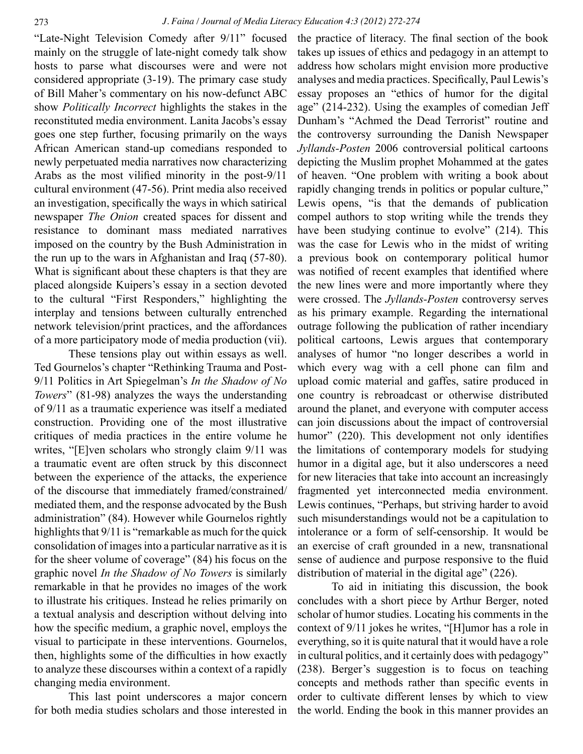"Late-Night Television Comedy after 9/11" focused mainly on the struggle of late-night comedy talk show hosts to parse what discourses were and were not considered appropriate (3-19). The primary case study of Bill Maher's commentary on his now-defunct ABC show *Politically Incorrect* highlights the stakes in the reconstituted media environment. Lanita Jacobs's essay goes one step further, focusing primarily on the ways African American stand-up comedians responded to newly perpetuated media narratives now characterizing Arabs as the most vilified minority in the post-9/11 cultural environment (47-56). Print media also received an investigation, specifically the ways in which satirical newspaper *The Onion* created spaces for dissent and resistance to dominant mass mediated narratives imposed on the country by the Bush Administration in the run up to the wars in Afghanistan and Iraq (57-80). What is significant about these chapters is that they are placed alongside Kuipers's essay in a section devoted to the cultural "First Responders," highlighting the interplay and tensions between culturally entrenched network television/print practices, and the affordances of a more participatory mode of media production (vii).

These tensions play out within essays as well. Ted Gournelos's chapter "Rethinking Trauma and Post-9/11 Politics in Art Spiegelman's *In the Shadow of No Towers*" (81-98) analyzes the ways the understanding of 9/11 as a traumatic experience was itself a mediated construction. Providing one of the most illustrative critiques of media practices in the entire volume he writes, "[E]ven scholars who strongly claim 9/11 was a traumatic event are often struck by this disconnect between the experience of the attacks, the experience of the discourse that immediately framed/constrained/ mediated them, and the response advocated by the Bush administration" (84). However while Gournelos rightly highlights that 9/11 is "remarkable as much for the quick consolidation of images into a particular narrative as it is for the sheer volume of coverage" (84) his focus on the graphic novel *In the Shadow of No Towers* is similarly remarkable in that he provides no images of the work to illustrate his critiques. Instead he relies primarily on a textual analysis and description without delving into how the specific medium, a graphic novel, employs the visual to participate in these interventions. Gournelos, then, highlights some of the difficulties in how exactly to analyze these discourses within a context of a rapidly changing media environment.

This last point underscores a major concern for both media studies scholars and those interested in the practice of literacy. The final section of the book takes up issues of ethics and pedagogy in an attempt to address how scholars might envision more productive analyses and media practices. Specifically, Paul Lewis's essay proposes an "ethics of humor for the digital age" (214-232). Using the examples of comedian Jeff Dunham's "Achmed the Dead Terrorist" routine and the controversy surrounding the Danish Newspaper *Jyllands-Posten* 2006 controversial political cartoons depicting the Muslim prophet Mohammed at the gates of heaven. "One problem with writing a book about rapidly changing trends in politics or popular culture," Lewis opens, "is that the demands of publication compel authors to stop writing while the trends they have been studying continue to evolve" (214). This was the case for Lewis who in the midst of writing a previous book on contemporary political humor was notified of recent examples that identified where the new lines were and more importantly where they were crossed. The *Jyllands-Posten* controversy serves as his primary example. Regarding the international outrage following the publication of rather incendiary political cartoons, Lewis argues that contemporary analyses of humor "no longer describes a world in which every wag with a cell phone can film and upload comic material and gaffes, satire produced in one country is rebroadcast or otherwise distributed around the planet, and everyone with computer access can join discussions about the impact of controversial humor" (220). This development not only identifies the limitations of contemporary models for studying humor in a digital age, but it also underscores a need for new literacies that take into account an increasingly fragmented yet interconnected media environment. Lewis continues, "Perhaps, but striving harder to avoid such misunderstandings would not be a capitulation to intolerance or a form of self-censorship. It would be an exercise of craft grounded in a new, transnational sense of audience and purpose responsive to the fluid distribution of material in the digital age" (226).

To aid in initiating this discussion, the book concludes with a short piece by Arthur Berger, noted scholar of humor studies. Locating his comments in the context of 9/11 jokes he writes, "[H]umor has a role in everything, so it is quite natural that it would have a role in cultural politics, and it certainly does with pedagogy" (238). Berger's suggestion is to focus on teaching concepts and methods rather than specific events in order to cultivate different lenses by which to view the world. Ending the book in this manner provides an